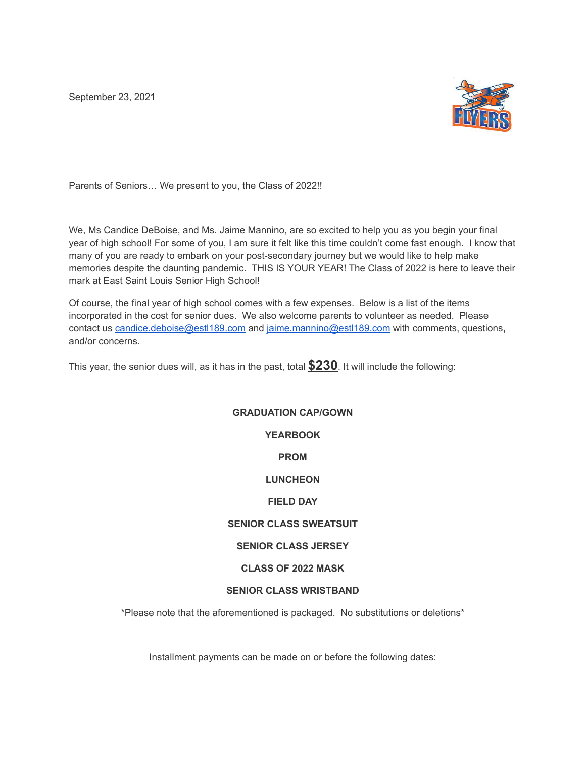September 23, 2021



Parents of Seniors… We present to you, the Class of 2022!!

We, Ms Candice DeBoise, and Ms. Jaime Mannino, are so excited to help you as you begin your final year of high school! For some of you, I am sure it felt like this time couldn't come fast enough. I know that many of you are ready to embark on your post-secondary journey but we would like to help make memories despite the daunting pandemic. THIS IS YOUR YEAR! The Class of 2022 is here to leave their mark at East Saint Louis Senior High School!

Of course, the final year of high school comes with a few expenses. Below is a list of the items incorporated in the cost for senior dues. We also welcome parents to volunteer as needed. Please contact us [candice.deboise@estl189.com](mailto:candice.deboise@estl189.com) and [jaime.mannino@estl189.com](mailto:jaime.mannino@estl189.com) with comments, questions, and/or concerns.

This year, the senior dues will, as it has in the past, total **\$230**. It will include the following:

## **GRADUATION CAP/GOWN YEARBOOK PROM LUNCHEON FIELD DAY SENIOR CLASS SWEATSUIT SENIOR CLASS JERSEY CLASS OF 2022 MASK SENIOR CLASS WRISTBAND**

\*Please note that the aforementioned is packaged. No substitutions or deletions\*

Installment payments can be made on or before the following dates: